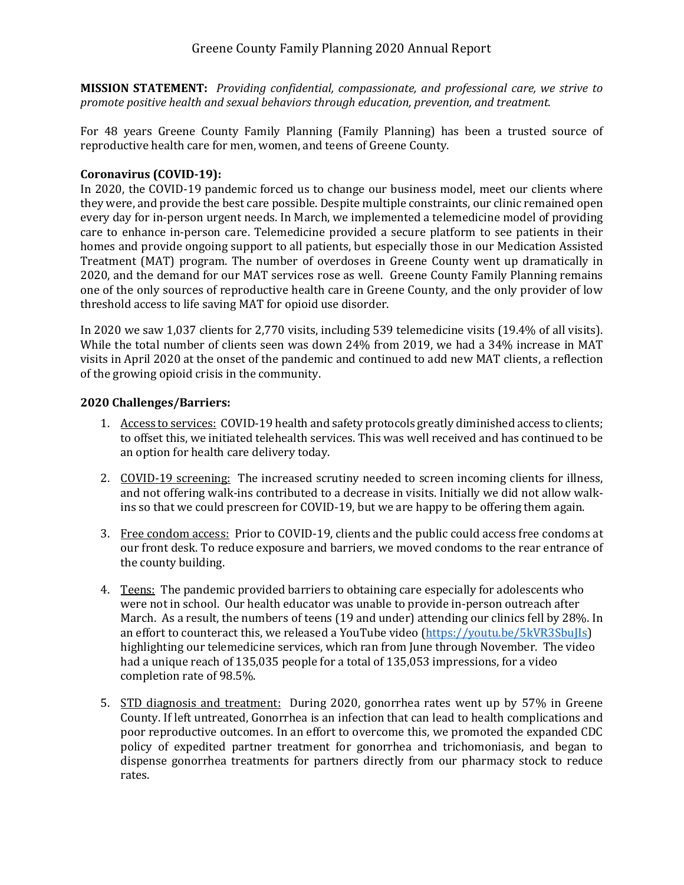**MISSION STATEMENT:** *Providing confidential, compassionate, and professional care, we strive to promote positive health and sexual behaviors through education, prevention, and treatment.*

For 48 years Greene County Family Planning (Family Planning) has been a trusted source of reproductive health care for men, women, and teens of Greene County.

# **Coronavirus (COVID-19):**

In 2020, the COVID-19 pandemic forced us to change our business model, meet our clients where they were, and provide the best care possible. Despite multiple constraints, our clinic remained open every day for in-person urgent needs. In March, we implemented a telemedicine model of providing care to enhance in-person care. Telemedicine provided a secure platform to see patients in their homes and provide ongoing support to all patients, but especially those in our Medication Assisted Treatment (MAT) program. The number of overdoses in Greene County went up dramatically in 2020, and the demand for our MAT services rose as well. Greene County Family Planning remains one of the only sources of reproductive health care in Greene County, and the only provider of low threshold access to life saving MAT for opioid use disorder.

In 2020 we saw 1,037 clients for 2,770 visits, including 539 telemedicine visits (19.4% of all visits). While the total number of clients seen was down 24% from 2019, we had a 34% increase in MAT visits in April 2020 at the onset of the pandemic and continued to add new MAT clients, a reflection of the growing opioid crisis in the community.

## **2020 Challenges/Barriers:**

- 1. Access to services: COVID-19 health and safety protocols greatly diminished access to clients; to offset this, we initiated telehealth services. This was well received and has continued to be an option for health care delivery today.
- 2. COVID-19 screening: The increased scrutiny needed to screen incoming clients for illness, and not offering walk-ins contributed to a decrease in visits. Initially we did not allow walkins so that we could prescreen for COVID-19, but we are happy to be offering them again.
- 3. Free condom access: Prior to COVID-19, clients and the public could access free condoms at our front desk. To reduce exposure and barriers, we moved condoms to the rear entrance of the county building.
- 4. Teens: The pandemic provided barriers to obtaining care especially for adolescents who were not in school. Our health educator was unable to provide in-person outreach after March. As a result, the numbers of teens (19 and under) attending our clinics fell by 28%. In an effort to counteract this, we released a YouTube video [\(https://youtu.be/5kVR3SbuJIs\)](https://youtu.be/5kVR3SbuJIs) highlighting our telemedicine services, which ran from June through November. The video had a unique reach of 135,035 people for a total of 135,053 impressions, for a video completion rate of 98.5%.
- 5. STD diagnosis and treatment: During 2020, gonorrhea rates went up by 57% in Greene County. If left untreated, Gonorrhea is an infection that can lead to health complications and poor reproductive outcomes. In an effort to overcome this, we promoted the expanded CDC policy of expedited partner treatment for gonorrhea and trichomoniasis, and began to dispense gonorrhea treatments for partners directly from our pharmacy stock to reduce rates.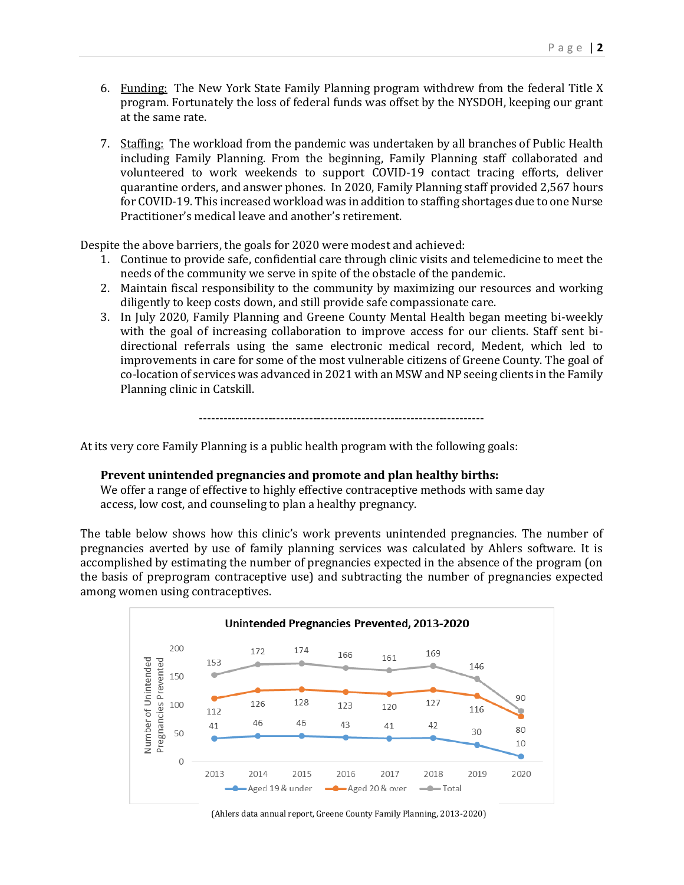- 6. Funding: The New York State Family Planning program withdrew from the federal Title X program. Fortunately the loss of federal funds was offset by the NYSDOH, keeping our grant at the same rate.
- 7. Staffing: The workload from the pandemic was undertaken by all branches of Public Health including Family Planning. From the beginning, Family Planning staff collaborated and volunteered to work weekends to support COVID-19 contact tracing efforts, deliver quarantine orders, and answer phones. In 2020, Family Planning staff provided 2,567 hours for COVID-19. This increased workload was in addition to staffing shortages due to one Nurse Practitioner's medical leave and another's retirement.

Despite the above barriers, the goals for 2020 were modest and achieved:

- 1. Continue to provide safe, confidential care through clinic visits and telemedicine to meet the needs of the community we serve in spite of the obstacle of the pandemic.
- 2. Maintain fiscal responsibility to the community by maximizing our resources and working diligently to keep costs down, and still provide safe compassionate care.
- 3. In July 2020, Family Planning and Greene County Mental Health began meeting bi-weekly with the goal of increasing collaboration to improve access for our clients. Staff sent bidirectional referrals using the same electronic medical record, Medent, which led to improvements in care for some of the most vulnerable citizens of Greene County. The goal of co-location of services was advanced in 2021 with an MSW and NP seeing clients in the Family Planning clinic in Catskill.

----------------------------------------------------------------------

At its very core Family Planning is a public health program with the following goals:

#### **Prevent unintended pregnancies and promote and plan healthy births:**

We offer a range of effective to highly effective contraceptive methods with same day access, low cost, and counseling to plan a healthy pregnancy.

The table below shows how this clinic's work prevents unintended pregnancies. The number of pregnancies averted by use of family planning services was calculated by Ahlers software. It is accomplished by estimating the number of pregnancies expected in the absence of the program (on the basis of preprogram contraceptive use) and subtracting the number of pregnancies expected among women using contraceptives.



(Ahlers data annual report, Greene County Family Planning, 2013-2020)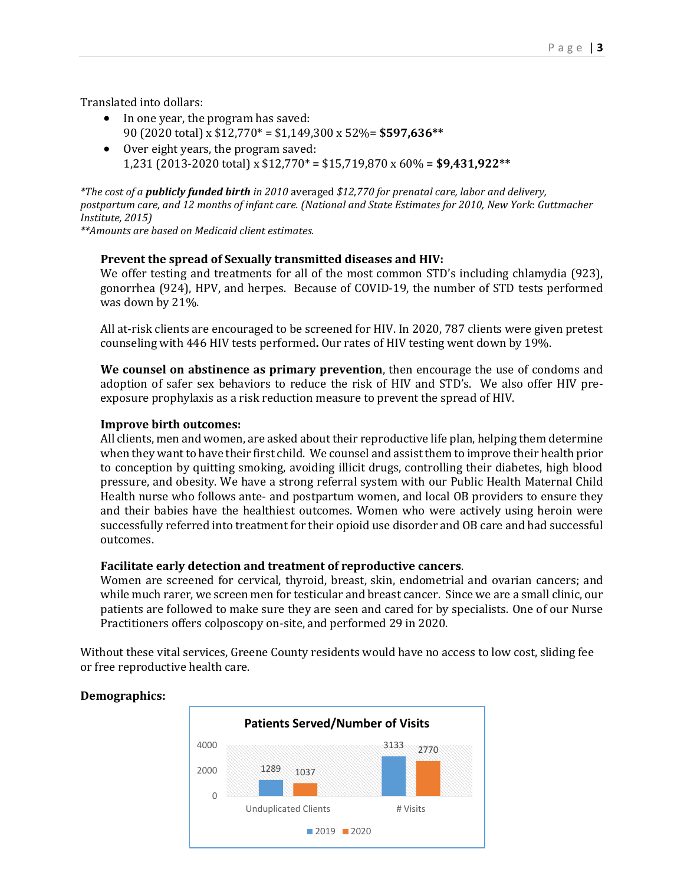Translated into dollars:

- In one year, the program has saved: 90 (2020 total) x \$12,770\* = \$1,149,300 x 52%= **\$597,636\*\***
- Over eight years, the program saved: 1,231 (2013-2020 total) x \$12,770\* = \$15,719,870 x 60% = **\$9,431,922\*\***

*\*The cost of a publicly funded birth in 2010* averaged *\$12,770 for prenatal care, labor and delivery, postpartum care, and 12 months of infant care. (National and State Estimates for 2010, New York*: *Guttmacher Institute, 2015)*

*\*\*Amounts are based on Medicaid client estimates.*

## **Prevent the spread of Sexually transmitted diseases and HIV:**

We offer testing and treatments for all of the most common STD's including chlamydia (923), gonorrhea (924), HPV, and herpes. Because of COVID-19, the number of STD tests performed was down by 21%.

All at-risk clients are encouraged to be screened for HIV. In 2020, 787 clients were given pretest counseling with 446 HIV tests performed**.** Our rates of HIV testing went down by 19%.

**We counsel on abstinence as primary prevention**, then encourage the use of condoms and adoption of safer sex behaviors to reduce the risk of HIV and STD's. We also offer HIV preexposure prophylaxis as a risk reduction measure to prevent the spread of HIV.

## **Improve birth outcomes:**

All clients, men and women, are asked about their reproductive life plan, helping them determine when they want to have their first child. We counsel and assist them to improve their health prior to conception by quitting smoking, avoiding illicit drugs, controlling their diabetes, high blood pressure, and obesity. We have a strong referral system with our Public Health Maternal Child Health nurse who follows ante- and postpartum women, and local OB providers to ensure they and their babies have the healthiest outcomes. Women who were actively using heroin were successfully referred into treatment for their opioid use disorder and OB care and had successful outcomes.

#### **Facilitate early detection and treatment of reproductive cancers**.

Women are screened for cervical, thyroid, breast, skin, endometrial and ovarian cancers; and while much rarer, we screen men for testicular and breast cancer. Since we are a small clinic, our patients are followed to make sure they are seen and cared for by specialists. One of our Nurse Practitioners offers colposcopy on-site, and performed 29 in 2020.

Without these vital services, Greene County residents would have no access to low cost, sliding fee or free reproductive health care.



# **Demographics:**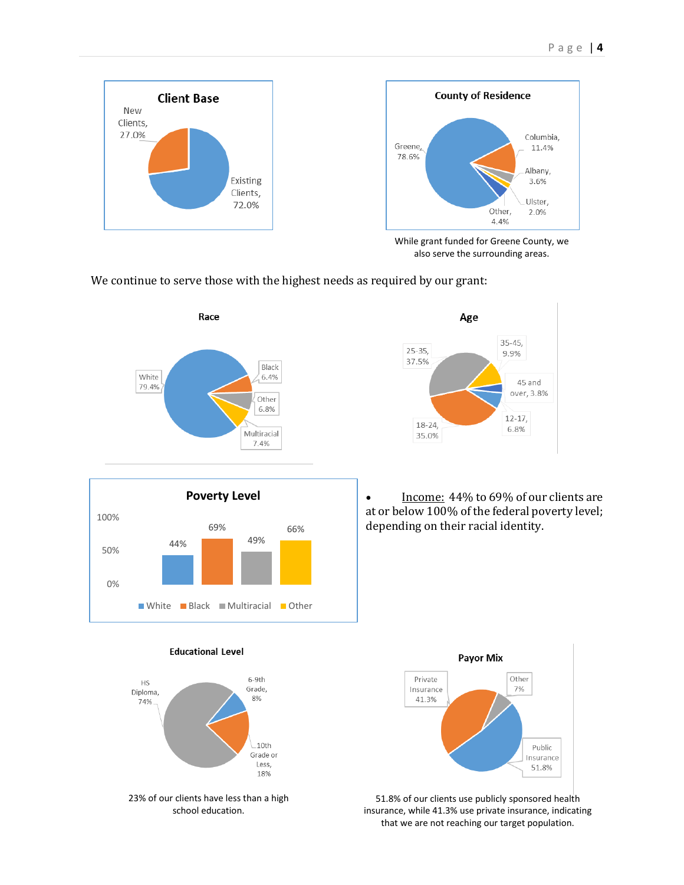



While grant funded for Greene County, we also serve the surrounding areas.

We continue to serve those with the highest needs as required by our grant:





• Income: 44% to 69% of our clients are at or below 100% of the federal poverty level; depending on their racial identity.



#### **Educational Level**



school education.



51.8% of our clients use publicly sponsored health insurance, while 41.3% use private insurance, indicating that we are not reaching our target population.